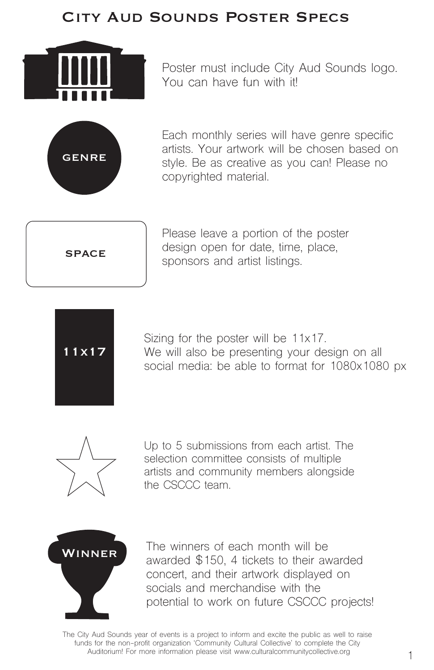Poster must include City Aud Sounds logo. You can have fun with it!



Each monthly series will have genre specific artists. Your artwork will be chosen based on style. Be as creative as you can! Please no copyrighted material.



Please leave a portion of the poster design open for date, time, place, sponsors and artist listings.



WINNER The winners of each month will be awarded \$150, 4 tickets to their awarded concert, and their artwork displayed on socials and merchandise with the potential to work on future CSCCC projects!

Sizing for the poster will be 11x17. We will also be presenting your design on all social media: be able to format for 1080x1080 px



The City Aud Sounds year of events is a project to inform and excite the public as well to raise funds for the non-profit organization 'Community Cultural Collective' to complete the City Auditorium! For more information please visit www.culturalcommunitycollective.org

Up to 5 submissions from each artist. The selection committee consists of multiple artists and community members alongside the CSCCC team.

## City Aud Sounds Poster Specs